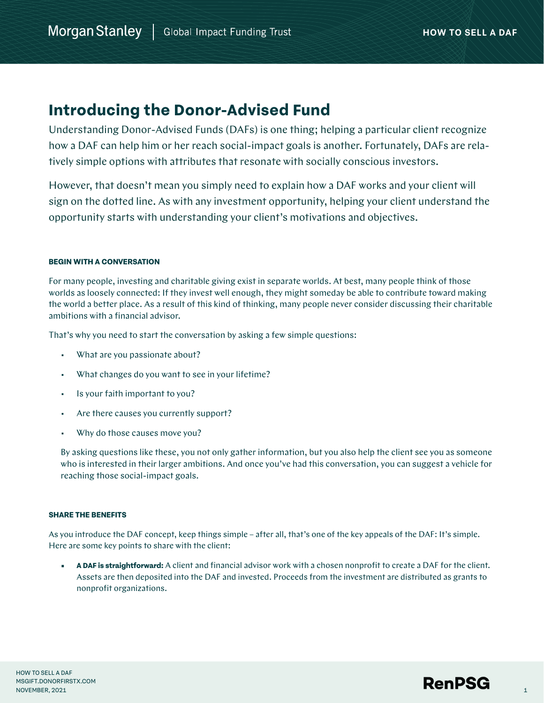# **Introducing the Donor-Advised Fund**

Understanding Donor-Advised Funds (DAFs) is one thing; helping a particular client recognize how a DAF can help him or her reach social-impact goals is another. Fortunately, DAFs are relatively simple options with attributes that resonate with socially conscious investors.

However, that doesn't mean you simply need to explain how a DAF works and your client will sign on the dotted line. As with any investment opportunity, helping your client understand the opportunity starts with understanding your client's motivations and objectives.

## **BEGIN WITH A CONVERSATION**

For many people, investing and charitable giving exist in separate worlds. At best, many people think of those worlds as loosely connected: If they invest well enough, they might someday be able to contribute toward making the world a better place. As a result of this kind of thinking, many people never consider discussing their charitable ambitions with a financial advisor.

That's why you need to start the conversation by asking a few simple questions:

- What are you passionate about?
- What changes do you want to see in your lifetime?
- Is your faith important to you?
- Are there causes you currently support?
- Why do those causes move you?

By asking questions like these, you not only gather information, but you also help the client see you as someone who is interested in their larger ambitions. And once you've had this conversation, you can suggest a vehicle for reaching those social-impact goals.

## **SHARE THE BENEFITS**

As you introduce the DAF concept, keep things simple – after all, that's one of the key appeals of the DAF: It's simple. Here are some key points to share with the client:

**• A DAF is straightforward:** A client and financial advisor work with a chosen nonprofit to create a DAF for the client. Assets are then deposited into the DAF and invested. Proceeds from the investment are distributed as grants to nonprofit organizations.